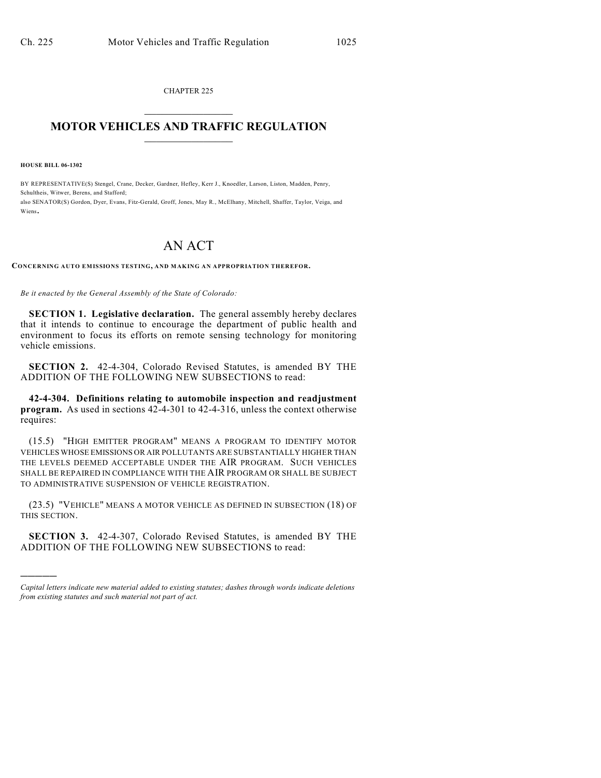CHAPTER 225  $\overline{\phantom{a}}$  . The set of the set of the set of the set of the set of the set of the set of the set of the set of the set of the set of the set of the set of the set of the set of the set of the set of the set of the set o

## **MOTOR VEHICLES AND TRAFFIC REGULATION**  $\frac{1}{2}$  ,  $\frac{1}{2}$  ,  $\frac{1}{2}$  ,  $\frac{1}{2}$  ,  $\frac{1}{2}$  ,  $\frac{1}{2}$  ,  $\frac{1}{2}$  ,  $\frac{1}{2}$

**HOUSE BILL 06-1302**

)))))

BY REPRESENTATIVE(S) Stengel, Crane, Decker, Gardner, Hefley, Kerr J., Knoedler, Larson, Liston, Madden, Penry, Schultheis, Witwer, Berens, and Stafford; also SENATOR(S) Gordon, Dyer, Evans, Fitz-Gerald, Groff, Jones, May R., McElhany, Mitchell, Shaffer, Taylor, Veiga, and Wiens.

## AN ACT

**CONCERNING AUTO EMISSIONS TESTING, AND MAKING AN APPROPRIATION THEREFOR.**

*Be it enacted by the General Assembly of the State of Colorado:*

**SECTION 1. Legislative declaration.** The general assembly hereby declares that it intends to continue to encourage the department of public health and environment to focus its efforts on remote sensing technology for monitoring vehicle emissions.

**SECTION 2.** 42-4-304, Colorado Revised Statutes, is amended BY THE ADDITION OF THE FOLLOWING NEW SUBSECTIONS to read:

**42-4-304. Definitions relating to automobile inspection and readjustment program.** As used in sections 42-4-301 to 42-4-316, unless the context otherwise requires:

(15.5) "HIGH EMITTER PROGRAM" MEANS A PROGRAM TO IDENTIFY MOTOR VEHICLES WHOSE EMISSIONS OR AIR POLLUTANTS ARE SUBSTANTIALLY HIGHER THAN THE LEVELS DEEMED ACCEPTABLE UNDER THE AIR PROGRAM. SUCH VEHICLES SHALL BE REPAIRED IN COMPLIANCE WITH THE AIR PROGRAM OR SHALL BE SUBJECT TO ADMINISTRATIVE SUSPENSION OF VEHICLE REGISTRATION.

(23.5) "VEHICLE" MEANS A MOTOR VEHICLE AS DEFINED IN SUBSECTION (18) OF THIS SECTION.

**SECTION 3.** 42-4-307, Colorado Revised Statutes, is amended BY THE ADDITION OF THE FOLLOWING NEW SUBSECTIONS to read:

*Capital letters indicate new material added to existing statutes; dashes through words indicate deletions from existing statutes and such material not part of act.*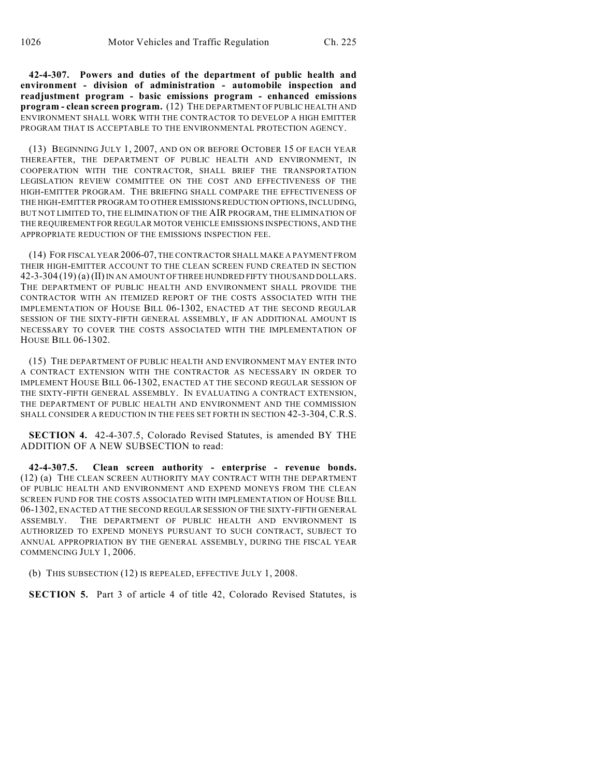**42-4-307. Powers and duties of the department of public health and environment - division of administration - automobile inspection and readjustment program - basic emissions program - enhanced emissions program - clean screen program.** (12) THE DEPARTMENT OF PUBLIC HEALTH AND ENVIRONMENT SHALL WORK WITH THE CONTRACTOR TO DEVELOP A HIGH EMITTER PROGRAM THAT IS ACCEPTABLE TO THE ENVIRONMENTAL PROTECTION AGENCY.

(13) BEGINNING JULY 1, 2007, AND ON OR BEFORE OCTOBER 15 OF EACH YEAR THEREAFTER, THE DEPARTMENT OF PUBLIC HEALTH AND ENVIRONMENT, IN COOPERATION WITH THE CONTRACTOR, SHALL BRIEF THE TRANSPORTATION LEGISLATION REVIEW COMMITTEE ON THE COST AND EFFECTIVENESS OF THE HIGH-EMITTER PROGRAM. THE BRIEFING SHALL COMPARE THE EFFECTIVENESS OF THE HIGH-EMITTER PROGRAM TO OTHER EMISSIONS REDUCTION OPTIONS, INCLUDING, BUT NOT LIMITED TO, THE ELIMINATION OF THE AIR PROGRAM, THE ELIMINATION OF THE REQUIREMENT FOR REGULAR MOTOR VEHICLE EMISSIONS INSPECTIONS, AND THE APPROPRIATE REDUCTION OF THE EMISSIONS INSPECTION FEE.

(14) FOR FISCAL YEAR 2006-07, THE CONTRACTOR SHALL MAKE A PAYMENT FROM THEIR HIGH-EMITTER ACCOUNT TO THE CLEAN SCREEN FUND CREATED IN SECTION 42-3-304 (19) (a) (II) IN AN AMOUNT OF THREE HUNDRED FIFTY THOUSAND DOLLARS. THE DEPARTMENT OF PUBLIC HEALTH AND ENVIRONMENT SHALL PROVIDE THE CONTRACTOR WITH AN ITEMIZED REPORT OF THE COSTS ASSOCIATED WITH THE IMPLEMENTATION OF HOUSE BILL 06-1302, ENACTED AT THE SECOND REGULAR SESSION OF THE SIXTY-FIFTH GENERAL ASSEMBLY, IF AN ADDITIONAL AMOUNT IS NECESSARY TO COVER THE COSTS ASSOCIATED WITH THE IMPLEMENTATION OF HOUSE BILL 06-1302.

(15) THE DEPARTMENT OF PUBLIC HEALTH AND ENVIRONMENT MAY ENTER INTO A CONTRACT EXTENSION WITH THE CONTRACTOR AS NECESSARY IN ORDER TO IMPLEMENT HOUSE BILL 06-1302, ENACTED AT THE SECOND REGULAR SESSION OF THE SIXTY-FIFTH GENERAL ASSEMBLY. IN EVALUATING A CONTRACT EXTENSION, THE DEPARTMENT OF PUBLIC HEALTH AND ENVIRONMENT AND THE COMMISSION SHALL CONSIDER A REDUCTION IN THE FEES SET FORTH IN SECTION 42-3-304,C.R.S.

**SECTION 4.** 42-4-307.5, Colorado Revised Statutes, is amended BY THE ADDITION OF A NEW SUBSECTION to read:

**42-4-307.5. Clean screen authority - enterprise - revenue bonds.** (12) (a) THE CLEAN SCREEN AUTHORITY MAY CONTRACT WITH THE DEPARTMENT OF PUBLIC HEALTH AND ENVIRONMENT AND EXPEND MONEYS FROM THE CLEAN SCREEN FUND FOR THE COSTS ASSOCIATED WITH IMPLEMENTATION OF HOUSE BILL 06-1302, ENACTED AT THE SECOND REGULAR SESSION OF THE SIXTY-FIFTH GENERAL ASSEMBLY. THE DEPARTMENT OF PUBLIC HEALTH AND ENVIRONMENT IS AUTHORIZED TO EXPEND MONEYS PURSUANT TO SUCH CONTRACT, SUBJECT TO ANNUAL APPROPRIATION BY THE GENERAL ASSEMBLY, DURING THE FISCAL YEAR COMMENCING JULY 1, 2006.

(b) THIS SUBSECTION (12) IS REPEALED, EFFECTIVE JULY 1, 2008.

**SECTION 5.** Part 3 of article 4 of title 42, Colorado Revised Statutes, is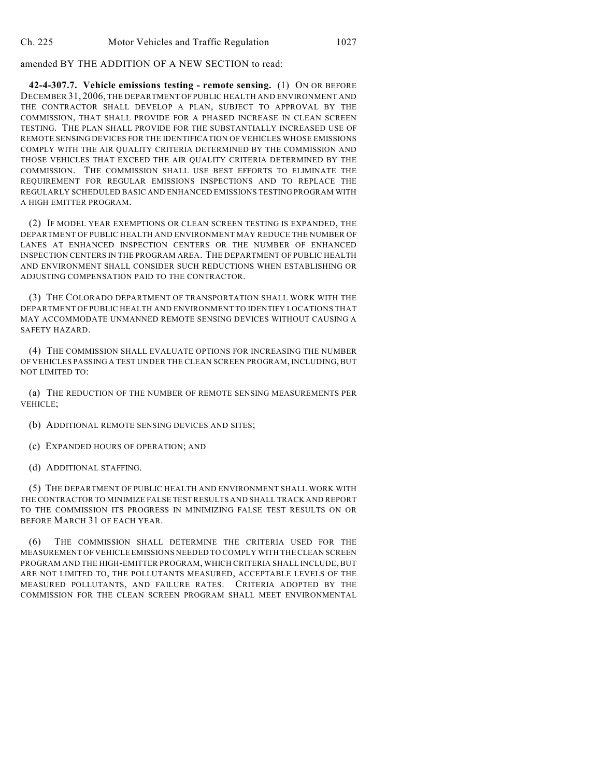## amended BY THE ADDITION OF A NEW SECTION to read:

**42-4-307.7. Vehicle emissions testing - remote sensing.** (1) ON OR BEFORE DECEMBER 31, 2006, THE DEPARTMENT OF PUBLIC HEALTH AND ENVIRONMENT AND THE CONTRACTOR SHALL DEVELOP A PLAN, SUBJECT TO APPROVAL BY THE COMMISSION, THAT SHALL PROVIDE FOR A PHASED INCREASE IN CLEAN SCREEN TESTING. THE PLAN SHALL PROVIDE FOR THE SUBSTANTIALLY INCREASED USE OF REMOTE SENSING DEVICES FOR THE IDENTIFICATION OF VEHICLES WHOSE EMISSIONS COMPLY WITH THE AIR QUALITY CRITERIA DETERMINED BY THE COMMISSION AND THOSE VEHICLES THAT EXCEED THE AIR QUALITY CRITERIA DETERMINED BY THE COMMISSION. THE COMMISSION SHALL USE BEST EFFORTS TO ELIMINATE THE REQUIREMENT FOR REGULAR EMISSIONS INSPECTIONS AND TO REPLACE THE REGULARLY SCHEDULED BASIC AND ENHANCED EMISSIONS TESTING PROGRAM WITH A HIGH EMITTER PROGRAM.

(2) IF MODEL YEAR EXEMPTIONS OR CLEAN SCREEN TESTING IS EXPANDED, THE DEPARTMENT OF PUBLIC HEALTH AND ENVIRONMENT MAY REDUCE THE NUMBER OF LANES AT ENHANCED INSPECTION CENTERS OR THE NUMBER OF ENHANCED INSPECTION CENTERS IN THE PROGRAM AREA. THE DEPARTMENT OF PUBLIC HEALTH AND ENVIRONMENT SHALL CONSIDER SUCH REDUCTIONS WHEN ESTABLISHING OR ADJUSTING COMPENSATION PAID TO THE CONTRACTOR.

(3) THE COLORADO DEPARTMENT OF TRANSPORTATION SHALL WORK WITH THE DEPARTMENT OF PUBLIC HEALTH AND ENVIRONMENT TO IDENTIFY LOCATIONS THAT MAY ACCOMMODATE UNMANNED REMOTE SENSING DEVICES WITHOUT CAUSING A SAFETY HAZARD.

(4) THE COMMISSION SHALL EVALUATE OPTIONS FOR INCREASING THE NUMBER OF VEHICLES PASSING A TEST UNDER THE CLEAN SCREEN PROGRAM, INCLUDING, BUT NOT LIMITED TO:

(a) THE REDUCTION OF THE NUMBER OF REMOTE SENSING MEASUREMENTS PER VEHICLE;

- (b) ADDITIONAL REMOTE SENSING DEVICES AND SITES;
- (c) EXPANDED HOURS OF OPERATION; AND
- (d) ADDITIONAL STAFFING.

(5) THE DEPARTMENT OF PUBLIC HEALTH AND ENVIRONMENT SHALL WORK WITH THE CONTRACTOR TO MINIMIZE FALSE TEST RESULTS AND SHALL TRACK AND REPORT TO THE COMMISSION ITS PROGRESS IN MINIMIZING FALSE TEST RESULTS ON OR BEFORE MARCH 31 OF EACH YEAR.

(6) THE COMMISSION SHALL DETERMINE THE CRITERIA USED FOR THE MEASUREMENT OF VEHICLE EMISSIONS NEEDED TO COMPLY WITH THE CLEAN SCREEN PROGRAM AND THE HIGH-EMITTER PROGRAM, WHICH CRITERIA SHALL INCLUDE, BUT ARE NOT LIMITED TO, THE POLLUTANTS MEASURED, ACCEPTABLE LEVELS OF THE MEASURED POLLUTANTS, AND FAILURE RATES. CRITERIA ADOPTED BY THE COMMISSION FOR THE CLEAN SCREEN PROGRAM SHALL MEET ENVIRONMENTAL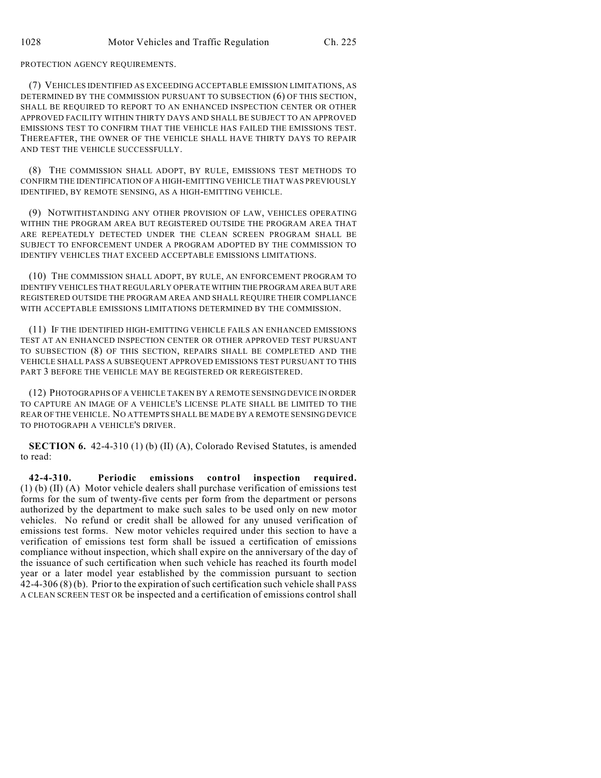PROTECTION AGENCY REQUIREMENTS.

(7) VEHICLES IDENTIFIED AS EXCEEDING ACCEPTABLE EMISSION LIMITATIONS, AS DETERMINED BY THE COMMISSION PURSUANT TO SUBSECTION (6) OF THIS SECTION, SHALL BE REQUIRED TO REPORT TO AN ENHANCED INSPECTION CENTER OR OTHER APPROVED FACILITY WITHIN THIRTY DAYS AND SHALL BE SUBJECT TO AN APPROVED EMISSIONS TEST TO CONFIRM THAT THE VEHICLE HAS FAILED THE EMISSIONS TEST. THEREAFTER, THE OWNER OF THE VEHICLE SHALL HAVE THIRTY DAYS TO REPAIR AND TEST THE VEHICLE SUCCESSFULLY.

(8) THE COMMISSION SHALL ADOPT, BY RULE, EMISSIONS TEST METHODS TO CONFIRM THE IDENTIFICATION OF A HIGH-EMITTING VEHICLE THAT WAS PREVIOUSLY IDENTIFIED, BY REMOTE SENSING, AS A HIGH-EMITTING VEHICLE.

(9) NOTWITHSTANDING ANY OTHER PROVISION OF LAW, VEHICLES OPERATING WITHIN THE PROGRAM AREA BUT REGISTERED OUTSIDE THE PROGRAM AREA THAT ARE REPEATEDLY DETECTED UNDER THE CLEAN SCREEN PROGRAM SHALL BE SUBJECT TO ENFORCEMENT UNDER A PROGRAM ADOPTED BY THE COMMISSION TO IDENTIFY VEHICLES THAT EXCEED ACCEPTABLE EMISSIONS LIMITATIONS.

(10) THE COMMISSION SHALL ADOPT, BY RULE, AN ENFORCEMENT PROGRAM TO IDENTIFY VEHICLES THAT REGULARLY OPERATE WITHIN THE PROGRAM AREA BUT ARE REGISTERED OUTSIDE THE PROGRAM AREA AND SHALL REQUIRE THEIR COMPLIANCE WITH ACCEPTABLE EMISSIONS LIMITATIONS DETERMINED BY THE COMMISSION.

(11) IF THE IDENTIFIED HIGH-EMITTING VEHICLE FAILS AN ENHANCED EMISSIONS TEST AT AN ENHANCED INSPECTION CENTER OR OTHER APPROVED TEST PURSUANT TO SUBSECTION (8) OF THIS SECTION, REPAIRS SHALL BE COMPLETED AND THE VEHICLE SHALL PASS A SUBSEQUENT APPROVED EMISSIONS TEST PURSUANT TO THIS PART 3 BEFORE THE VEHICLE MAY BE REGISTERED OR REREGISTERED.

(12) PHOTOGRAPHS OF A VEHICLE TAKEN BY A REMOTE SENSING DEVICE IN ORDER TO CAPTURE AN IMAGE OF A VEHICLE'S LICENSE PLATE SHALL BE LIMITED TO THE REAR OF THE VEHICLE. NO ATTEMPTS SHALL BE MADE BY A REMOTE SENSING DEVICE TO PHOTOGRAPH A VEHICLE'S DRIVER.

**SECTION 6.** 42-4-310 (1) (b) (II) (A), Colorado Revised Statutes, is amended to read:

**42-4-310. Periodic emissions control inspection required.** (1) (b) (II) (A) Motor vehicle dealers shall purchase verification of emissions test forms for the sum of twenty-five cents per form from the department or persons authorized by the department to make such sales to be used only on new motor vehicles. No refund or credit shall be allowed for any unused verification of emissions test forms. New motor vehicles required under this section to have a verification of emissions test form shall be issued a certification of emissions compliance without inspection, which shall expire on the anniversary of the day of the issuance of such certification when such vehicle has reached its fourth model year or a later model year established by the commission pursuant to section 42-4-306 (8) (b). Prior to the expiration of such certification such vehicle shall PASS A CLEAN SCREEN TEST OR be inspected and a certification of emissions control shall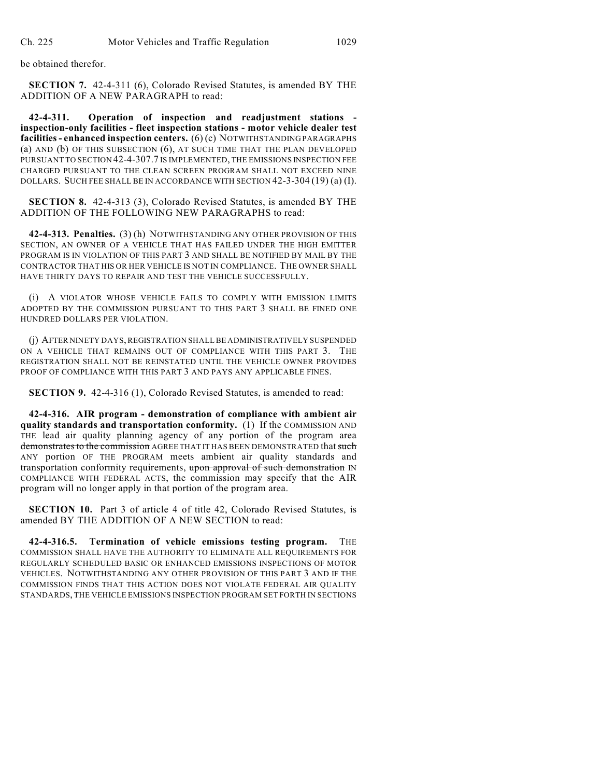be obtained therefor.

**SECTION 7.** 42-4-311 (6), Colorado Revised Statutes, is amended BY THE ADDITION OF A NEW PARAGRAPH to read:

**42-4-311. Operation of inspection and readjustment stations inspection-only facilities - fleet inspection stations - motor vehicle dealer test facilities - enhanced inspection centers.** (6) (c) NOTWITHSTANDING PARAGRAPHS (a) AND (b) OF THIS SUBSECTION (6), AT SUCH TIME THAT THE PLAN DEVELOPED PURSUANT TO SECTION 42-4-307.7 IS IMPLEMENTED, THE EMISSIONS INSPECTION FEE CHARGED PURSUANT TO THE CLEAN SCREEN PROGRAM SHALL NOT EXCEED NINE DOLLARS. SUCH FEE SHALL BE IN ACCORDANCE WITH SECTION 42-3-304 (19) (a) (I).

**SECTION 8.** 42-4-313 (3), Colorado Revised Statutes, is amended BY THE ADDITION OF THE FOLLOWING NEW PARAGRAPHS to read:

**42-4-313. Penalties.** (3) (h) NOTWITHSTANDING ANY OTHER PROVISION OF THIS SECTION, AN OWNER OF A VEHICLE THAT HAS FAILED UNDER THE HIGH EMITTER PROGRAM IS IN VIOLATION OF THIS PART 3 AND SHALL BE NOTIFIED BY MAIL BY THE CONTRACTOR THAT HIS OR HER VEHICLE IS NOT IN COMPLIANCE. THE OWNER SHALL HAVE THIRTY DAYS TO REPAIR AND TEST THE VEHICLE SUCCESSFULLY.

(i) A VIOLATOR WHOSE VEHICLE FAILS TO COMPLY WITH EMISSION LIMITS ADOPTED BY THE COMMISSION PURSUANT TO THIS PART 3 SHALL BE FINED ONE HUNDRED DOLLARS PER VIOLATION.

(j) AFTER NINETY DAYS, REGISTRATION SHALL BE ADMINISTRATIVELY SUSPENDED ON A VEHICLE THAT REMAINS OUT OF COMPLIANCE WITH THIS PART 3. THE REGISTRATION SHALL NOT BE REINSTATED UNTIL THE VEHICLE OWNER PROVIDES PROOF OF COMPLIANCE WITH THIS PART 3 AND PAYS ANY APPLICABLE FINES.

**SECTION 9.** 42-4-316 (1), Colorado Revised Statutes, is amended to read:

**42-4-316. AIR program - demonstration of compliance with ambient air quality standards and transportation conformity.** (1) If the COMMISSION AND THE lead air quality planning agency of any portion of the program area demonstrates to the commission AGREE THAT IT HAS BEEN DEMONSTRATED that such ANY portion OF THE PROGRAM meets ambient air quality standards and transportation conformity requirements, upon approval of such demonstration IN COMPLIANCE WITH FEDERAL ACTS, the commission may specify that the AIR program will no longer apply in that portion of the program area.

**SECTION 10.** Part 3 of article 4 of title 42, Colorado Revised Statutes, is amended BY THE ADDITION OF A NEW SECTION to read:

**42-4-316.5. Termination of vehicle emissions testing program.** THE COMMISSION SHALL HAVE THE AUTHORITY TO ELIMINATE ALL REQUIREMENTS FOR REGULARLY SCHEDULED BASIC OR ENHANCED EMISSIONS INSPECTIONS OF MOTOR VEHICLES. NOTWITHSTANDING ANY OTHER PROVISION OF THIS PART 3 AND IF THE COMMISSION FINDS THAT THIS ACTION DOES NOT VIOLATE FEDERAL AIR QUALITY STANDARDS, THE VEHICLE EMISSIONS INSPECTION PROGRAM SET FORTH IN SECTIONS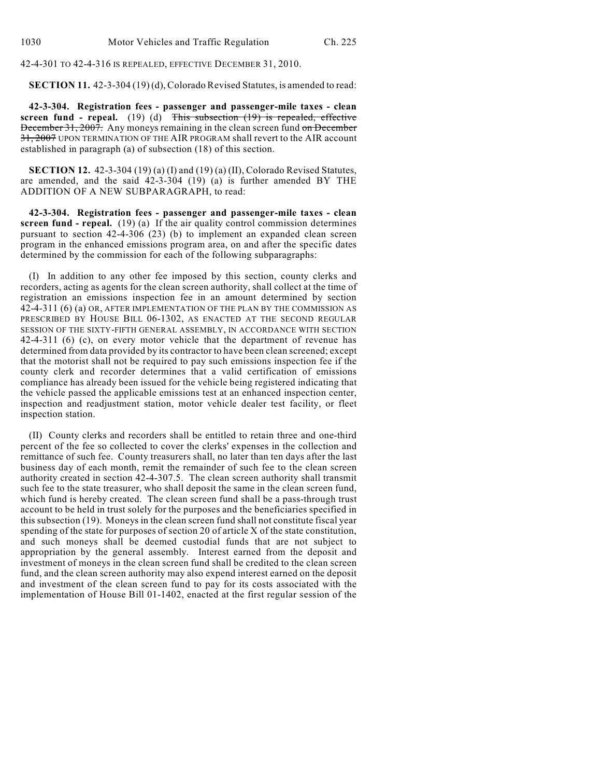42-4-301 TO 42-4-316 IS REPEALED, EFFECTIVE DECEMBER 31, 2010.

**SECTION 11.** 42-3-304 (19) (d), Colorado Revised Statutes, is amended to read:

**42-3-304. Registration fees - passenger and passenger-mile taxes - clean screen fund - repeal.** (19) (d) This subsection (19) is repealed, effective December 31, 2007. Any moneys remaining in the clean screen fund on December 31, 2007 UPON TERMINATION OF THE AIR PROGRAM shall revert to the AIR account established in paragraph (a) of subsection (18) of this section.

**SECTION 12.** 42-3-304 (19) (a) (I) and (19) (a) (II), Colorado Revised Statutes, are amended, and the said 42-3-304 (19) (a) is further amended BY THE ADDITION OF A NEW SUBPARAGRAPH, to read:

**42-3-304. Registration fees - passenger and passenger-mile taxes - clean screen fund - repeal.** (19) (a) If the air quality control commission determines pursuant to section 42-4-306 (23) (b) to implement an expanded clean screen program in the enhanced emissions program area, on and after the specific dates determined by the commission for each of the following subparagraphs:

(I) In addition to any other fee imposed by this section, county clerks and recorders, acting as agents for the clean screen authority, shall collect at the time of registration an emissions inspection fee in an amount determined by section 42-4-311 (6) (a) OR, AFTER IMPLEMENTATION OF THE PLAN BY THE COMMISSION AS PRESCRIBED BY HOUSE BILL 06-1302, AS ENACTED AT THE SECOND REGULAR SESSION OF THE SIXTY-FIFTH GENERAL ASSEMBLY, IN ACCORDANCE WITH SECTION 42-4-311 (6) (c), on every motor vehicle that the department of revenue has determined from data provided by its contractor to have been clean screened; except that the motorist shall not be required to pay such emissions inspection fee if the county clerk and recorder determines that a valid certification of emissions compliance has already been issued for the vehicle being registered indicating that the vehicle passed the applicable emissions test at an enhanced inspection center, inspection and readjustment station, motor vehicle dealer test facility, or fleet inspection station.

(II) County clerks and recorders shall be entitled to retain three and one-third percent of the fee so collected to cover the clerks' expenses in the collection and remittance of such fee. County treasurers shall, no later than ten days after the last business day of each month, remit the remainder of such fee to the clean screen authority created in section 42-4-307.5. The clean screen authority shall transmit such fee to the state treasurer, who shall deposit the same in the clean screen fund, which fund is hereby created. The clean screen fund shall be a pass-through trust account to be held in trust solely for the purposes and the beneficiaries specified in this subsection (19). Moneys in the clean screen fund shall not constitute fiscal year spending of the state for purposes of section 20 of article X of the state constitution, and such moneys shall be deemed custodial funds that are not subject to appropriation by the general assembly. Interest earned from the deposit and investment of moneys in the clean screen fund shall be credited to the clean screen fund, and the clean screen authority may also expend interest earned on the deposit and investment of the clean screen fund to pay for its costs associated with the implementation of House Bill 01-1402, enacted at the first regular session of the